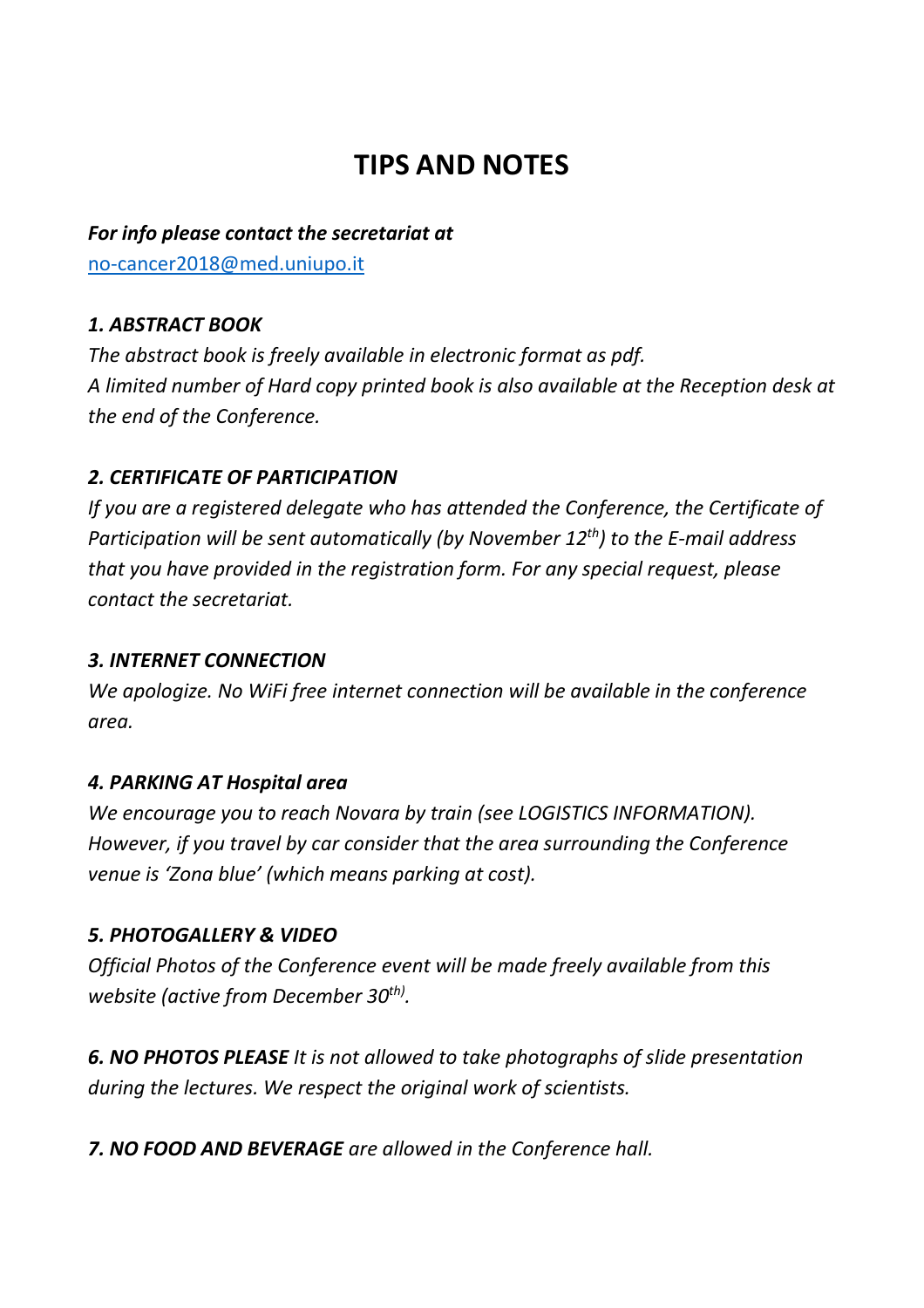# **TIPS AND NOTES**

## *For info please contact the secretariat at* [no-cancer2018@med.uniupo.it](mailto:no-cancer2018@med.uniupo.it)

# *1. ABSTRACT BOOK*

*The abstract book is freely available in electronic format as pdf. A limited number of Hard copy printed book is also available at the Reception desk at the end of the Conference.* 

## *2. CERTIFICATE OF PARTICIPATION*

*If you are a registered delegate who has attended the Conference, the Certificate of Participation will be sent automatically (by November 12th) to the E-mail address that you have provided in the registration form. For any special request, please contact the secretariat.*

#### *3. INTERNET CONNECTION*

*We apologize. No WiFi free internet connection will be available in the conference area.* 

#### *4. PARKING AT Hospital area*

*We encourage you to reach Novara by train (see LOGISTICS INFORMATION). However, if you travel by car consider that the area surrounding the Conference venue is 'Zona blue' (which means parking at cost).* 

#### *5. PHOTOGALLERY & VIDEO*

*Official Photos of the Conference event will be made freely available from this website (active from December 30th) .*

*6. NO PHOTOS PLEASE It is not allowed to take photographs of slide presentation during the lectures. We respect the original work of scientists.* 

*7. NO FOOD AND BEVERAGE are allowed in the Conference hall.*